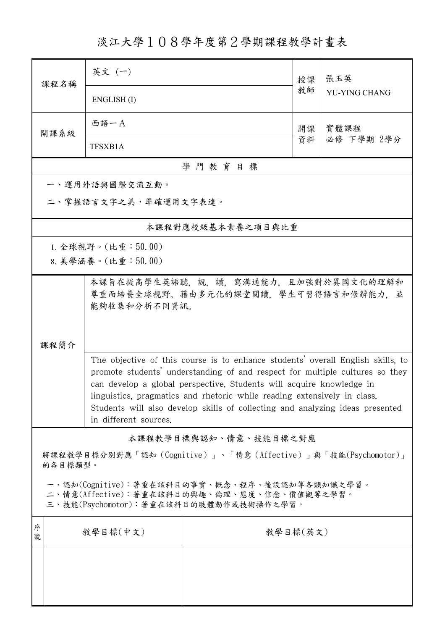淡江大學108學年度第2學期課程教學計畫表

| 课程名稱                                                                                                                                   | 英文 (一)                                                                                     |                                                                                                                                                                                                                                                                                                                                                                                                      | 授課 | 張玉英<br>YU-YING CHANG |  |  |
|----------------------------------------------------------------------------------------------------------------------------------------|--------------------------------------------------------------------------------------------|------------------------------------------------------------------------------------------------------------------------------------------------------------------------------------------------------------------------------------------------------------------------------------------------------------------------------------------------------------------------------------------------------|----|----------------------|--|--|
|                                                                                                                                        | ENGLISH(I)                                                                                 |                                                                                                                                                                                                                                                                                                                                                                                                      | 教師 |                      |  |  |
| 開課系級                                                                                                                                   | 西語一A                                                                                       |                                                                                                                                                                                                                                                                                                                                                                                                      | 開課 | 實體課程<br>必修 下學期 2學分   |  |  |
|                                                                                                                                        | TFSXB1A                                                                                    |                                                                                                                                                                                                                                                                                                                                                                                                      | 資料 |                      |  |  |
| 學門教育目標                                                                                                                                 |                                                                                            |                                                                                                                                                                                                                                                                                                                                                                                                      |    |                      |  |  |
|                                                                                                                                        | 一、運用外語與國際交流互動。                                                                             |                                                                                                                                                                                                                                                                                                                                                                                                      |    |                      |  |  |
| 二、掌握語言文字之美,準確運用文字表達。                                                                                                                   |                                                                                            |                                                                                                                                                                                                                                                                                                                                                                                                      |    |                      |  |  |
| 本課程對應校級基本素養之項目與比重                                                                                                                      |                                                                                            |                                                                                                                                                                                                                                                                                                                                                                                                      |    |                      |  |  |
| 1. 全球視野。(比重: $50.00$ )                                                                                                                 |                                                                                            |                                                                                                                                                                                                                                                                                                                                                                                                      |    |                      |  |  |
|                                                                                                                                        | 8. 美學涵養。(比重:50.00)                                                                         |                                                                                                                                                                                                                                                                                                                                                                                                      |    |                      |  |  |
| 課程簡介                                                                                                                                   | 本課旨在提高學生英語聽,說,讀,寫溝通能力,且加強對於異國文化的理解和<br>尊重而培養全球視野。藉由多元化的課堂閱讀,學生可習得語言和修辭能力,並<br>能夠收集和分析不同資訊。 |                                                                                                                                                                                                                                                                                                                                                                                                      |    |                      |  |  |
|                                                                                                                                        | in different sources.                                                                      | The objective of this course is to enhance students' overall English skills, to<br>promote students' understanding of and respect for multiple cultures so they<br>can develop a global perspective. Students will acquire knowledge in<br>linguistics, pragmatics and rhetoric while reading extensively in class.<br>Students will also develop skills of collecting and analyzing ideas presented |    |                      |  |  |
| 本課程教學目標與認知、情意、技能目標之對應                                                                                                                  |                                                                                            |                                                                                                                                                                                                                                                                                                                                                                                                      |    |                      |  |  |
| 將課程教學目標分別對應「認知(Cognitive)」、「情意(Affective)」與「技能(Psychomotor)」<br>的各目標類型。                                                                |                                                                                            |                                                                                                                                                                                                                                                                                                                                                                                                      |    |                      |  |  |
| 一、認知(Cognitive):著重在該科目的事實、概念、程序、後設認知等各類知識之學習。<br>二、情意(Affective):著重在該科目的興趣、倫理、態度、信念、價值觀等之學習。<br>三、技能(Psychomotor):著重在該科目的肢體動作或技術操作之學習。 |                                                                                            |                                                                                                                                                                                                                                                                                                                                                                                                      |    |                      |  |  |
| 序<br>號                                                                                                                                 | 教學目標(中文)                                                                                   | 教學目標(英文)                                                                                                                                                                                                                                                                                                                                                                                             |    |                      |  |  |
|                                                                                                                                        |                                                                                            |                                                                                                                                                                                                                                                                                                                                                                                                      |    |                      |  |  |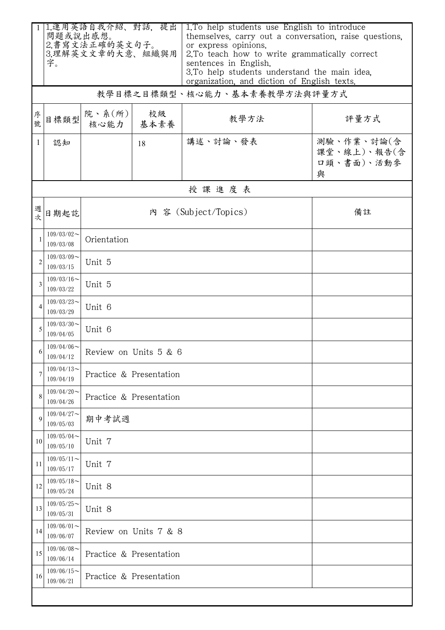|                | 問題或說出感想。                           | 1.運用英語自我介紹、對話,提出         |                         | 1. To help students use English to introduce<br>themselves, carry out a conversation, raise questions,               |                                              |  |
|----------------|------------------------------------|--------------------------|-------------------------|----------------------------------------------------------------------------------------------------------------------|----------------------------------------------|--|
|                | 2.書寫文法正確的英文句子。<br>3.理解英文文章的大意、組織與用 |                          |                         | or express opinions.<br>2.To teach how to write grammatically correct                                                |                                              |  |
|                | 字。                                 |                          |                         | sentences in English.<br>3.To help students understand the main idea.<br>organization, and diction of English texts. |                                              |  |
|                |                                    |                          |                         | 教學目標之目標類型、核心能力、基本素養教學方法與評量方式                                                                                         |                                              |  |
| 序號             | 目標類型                               | 院、系 $(\text{m})$<br>核心能力 | 校級<br>基本素養              | 教學方法                                                                                                                 | 評量方式                                         |  |
| 1              | 認知                                 |                          | 18                      | 講述、討論、發表                                                                                                             | 測驗、作業、討論(含<br>課堂、線上)、報告(含<br>口頭、書面)、活動參<br>與 |  |
|                |                                    |                          |                         | 授課進度表                                                                                                                |                                              |  |
| 週次             | 日期起訖                               |                          |                         | 內 容 (Subject/Topics)                                                                                                 | 備註                                           |  |
| $\mathbf{1}$   | $109/03/02$ ~<br>109/03/08         | Orientation              |                         |                                                                                                                      |                                              |  |
| $\overline{2}$ | $109/03/09$ ~<br>109/03/15         | Unit 5                   |                         |                                                                                                                      |                                              |  |
| 3              | $109/03/16$ ~<br>109/03/22         | Unit 5                   |                         |                                                                                                                      |                                              |  |
| 4              | $109/03/23$ ~<br>109/03/29         | Unit 6                   |                         |                                                                                                                      |                                              |  |
| 5              | $109/03/30$ ~<br>109/04/05         | Unit 6                   |                         |                                                                                                                      |                                              |  |
| 6              | $109/04/06$ ~<br>109/04/12         | Review on Units 5 & 6    |                         |                                                                                                                      |                                              |  |
| 7              | $109/04/13$ ~<br>109/04/19         | Practice & Presentation  |                         |                                                                                                                      |                                              |  |
| 8              | $109/04/20$ ~<br>109/04/26         | Practice & Presentation  |                         |                                                                                                                      |                                              |  |
| 9              | $109/04/27$ ~<br>109/05/03         | 期中考試週                    |                         |                                                                                                                      |                                              |  |
| 10             | $109/05/04$ ~<br>109/05/10         | Unit 7                   |                         |                                                                                                                      |                                              |  |
| 11             | $109/05/11$ ~<br>109/05/17         | Unit 7                   |                         |                                                                                                                      |                                              |  |
| 12             | $109/05/18$ ~<br>109/05/24         | Unit 8                   |                         |                                                                                                                      |                                              |  |
| 13             | $109/05/25$ ~<br>109/05/31         | Unit 8                   |                         |                                                                                                                      |                                              |  |
| 14             | $109/06/01$ ~<br>109/06/07         |                          | Review on Units 7 & 8   |                                                                                                                      |                                              |  |
| 15             | $109/06/08$ ~<br>109/06/14         |                          | Practice & Presentation |                                                                                                                      |                                              |  |
| 16             | $109/06/15$ ~<br>109/06/21         | Practice & Presentation  |                         |                                                                                                                      |                                              |  |
|                |                                    |                          |                         |                                                                                                                      |                                              |  |